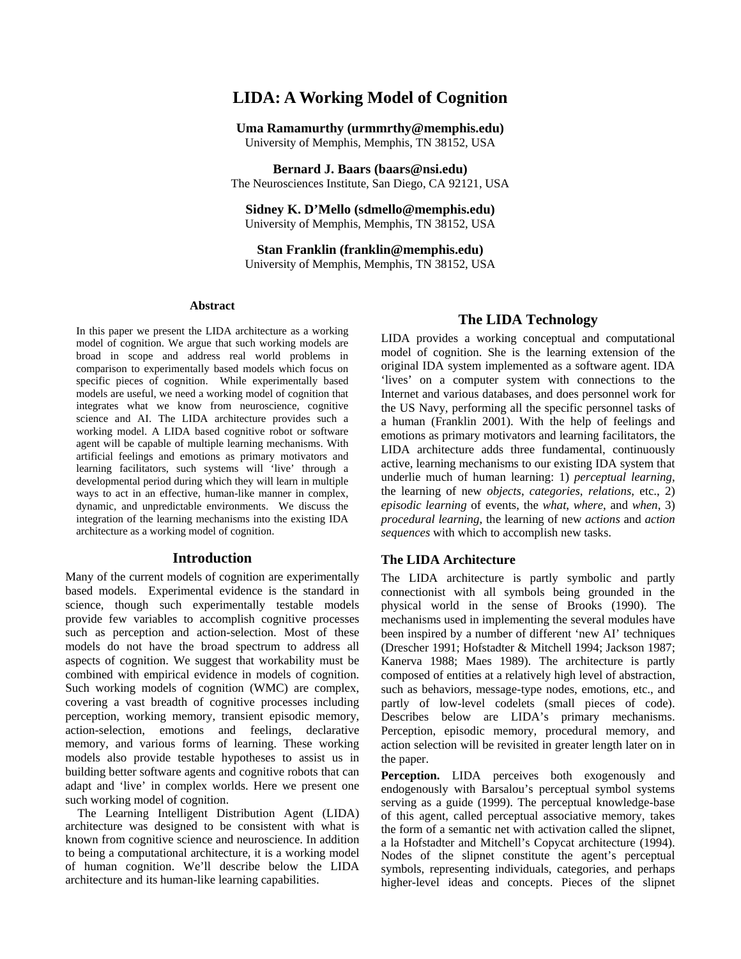# **LIDA: A Working Model of Cognition**

**Uma Ramamurthy (urmmrthy@memphis.edu)**  University of Memphis, Memphis, TN 38152, USA

**Bernard J. Baars (baars@nsi.edu)**  The Neurosciences Institute, San Diego, CA 92121, USA

**Sidney K. D'Mello (sdmello@memphis.edu)**  University of Memphis, Memphis, TN 38152, USA

**Stan Franklin (franklin@memphis.edu)**  University of Memphis, Memphis, TN 38152, USA

#### **Abstract**

In this paper we present the LIDA architecture as a working model of cognition. We argue that such working models are broad in scope and address real world problems in comparison to experimentally based models which focus on specific pieces of cognition. While experimentally based models are useful, we need a working model of cognition that integrates what we know from neuroscience, cognitive science and AI. The LIDA architecture provides such a working model. A LIDA based cognitive robot or software agent will be capable of multiple learning mechanisms. With artificial feelings and emotions as primary motivators and learning facilitators, such systems will 'live' through a developmental period during which they will learn in multiple ways to act in an effective, human-like manner in complex, dynamic, and unpredictable environments. We discuss the integration of the learning mechanisms into the existing IDA architecture as a working model of cognition.

#### **Introduction**

Many of the current models of cognition are experimentally based models. Experimental evidence is the standard in science, though such experimentally testable models provide few variables to accomplish cognitive processes such as perception and action-selection. Most of these models do not have the broad spectrum to address all aspects of cognition. We suggest that workability must be combined with empirical evidence in models of cognition. Such working models of cognition (WMC) are complex, covering a vast breadth of cognitive processes including perception, working memory, transient episodic memory, action-selection, emotions and feelings, declarative memory, and various forms of learning. These working models also provide testable hypotheses to assist us in building better software agents and cognitive robots that can adapt and 'live' in complex worlds. Here we present one such working model of cognition.

The Learning Intelligent Distribution Agent (LIDA) architecture was designed to be consistent with what is known from cognitive science and neuroscience. In addition to being a computational architecture, it is a working model of human cognition. We'll describe below the LIDA architecture and its human-like learning capabilities.

### **The LIDA Technology**

LIDA provides a working conceptual and computational model of cognition. She is the learning extension of the original IDA system implemented as a software agent. IDA 'lives' on a computer system with connections to the Internet and various databases, and does personnel work for the US Navy, performing all the specific personnel tasks of a human (Franklin 2001). With the help of feelings and emotions as primary motivators and learning facilitators, the LIDA architecture adds three fundamental, continuously active, learning mechanisms to our existing IDA system that underlie much of human learning: 1) *perceptual learning*, the learning of new *objects*, *categories*, *relations*, etc., 2) *episodic learning* of events, the *what*, *where*, and *when*, 3) *procedural learning*, the learning of new *actions* and *action sequences* with which to accomplish new tasks.

#### **The LIDA Architecture**

The LIDA architecture is partly symbolic and partly connectionist with all symbols being grounded in the physical world in the sense of Brooks (1990). The mechanisms used in implementing the several modules have been inspired by a number of different 'new AI' techniques (Drescher 1991; Hofstadter & Mitchell 1994; Jackson 1987; Kanerva 1988; Maes 1989). The architecture is partly composed of entities at a relatively high level of abstraction, such as behaviors, message-type nodes, emotions, etc., and partly of low-level codelets (small pieces of code). Describes below are LIDA's primary mechanisms. Perception, episodic memory, procedural memory, and action selection will be revisited in greater length later on in the paper.

**Perception.** LIDA perceives both exogenously and endogenously with Barsalou's perceptual symbol systems serving as a guide (1999). The perceptual knowledge-base of this agent, called perceptual associative memory, takes the form of a semantic net with activation called the slipnet, a la Hofstadter and Mitchell's Copycat architecture (1994). Nodes of the slipnet constitute the agent's perceptual symbols, representing individuals, categories, and perhaps higher-level ideas and concepts. Pieces of the slipnet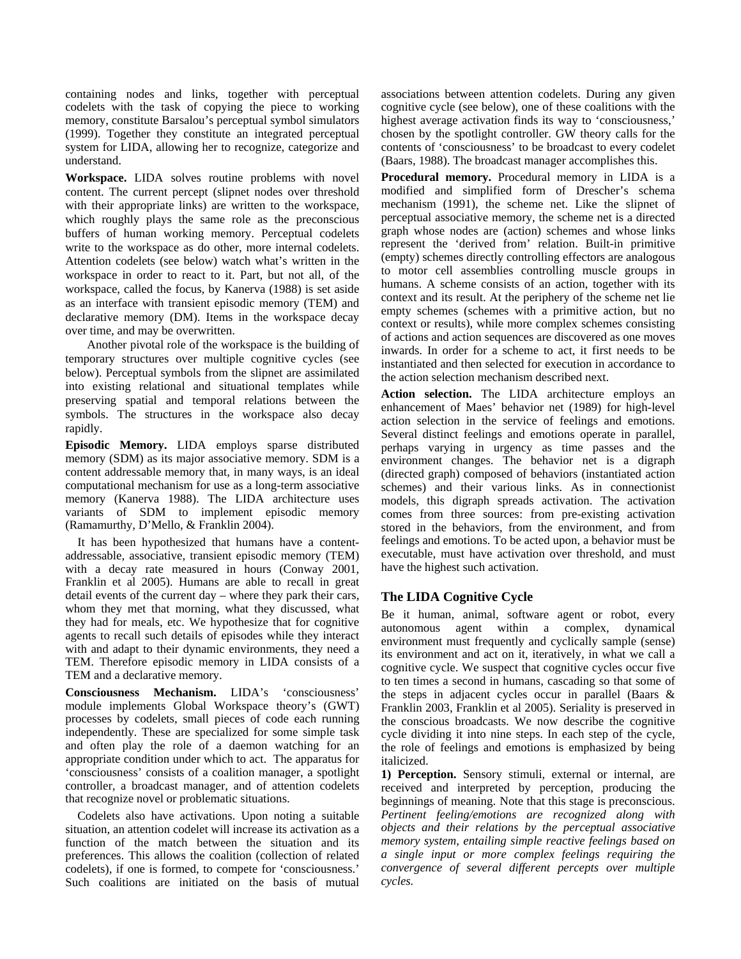containing nodes and links, together with perceptual codelets with the task of copying the piece to working memory, constitute Barsalou's perceptual symbol simulators (1999). Together they constitute an integrated perceptual system for LIDA, allowing her to recognize, categorize and understand.

**Workspace.** LIDA solves routine problems with novel content. The current percept (slipnet nodes over threshold with their appropriate links) are written to the workspace, which roughly plays the same role as the preconscious buffers of human working memory. Perceptual codelets write to the workspace as do other, more internal codelets. Attention codelets (see below) watch what's written in the workspace in order to react to it. Part, but not all, of the workspace, called the focus, by Kanerva (1988) is set aside as an interface with transient episodic memory (TEM) and declarative memory (DM). Items in the workspace decay over time, and may be overwritten.

Another pivotal role of the workspace is the building of temporary structures over multiple cognitive cycles (see below). Perceptual symbols from the slipnet are assimilated into existing relational and situational templates while preserving spatial and temporal relations between the symbols. The structures in the workspace also decay rapidly.

**Episodic Memory.** LIDA employs sparse distributed memory (SDM) as its major associative memory. SDM is a content addressable memory that, in many ways, is an ideal computational mechanism for use as a long-term associative memory (Kanerva 1988). The LIDA architecture uses variants of SDM to implement episodic memory (Ramamurthy, D'Mello, & Franklin 2004).

It has been hypothesized that humans have a contentaddressable, associative, transient episodic memory (TEM) with a decay rate measured in hours (Conway 2001, Franklin et al 2005). Humans are able to recall in great detail events of the current day – where they park their cars, whom they met that morning, what they discussed, what they had for meals, etc. We hypothesize that for cognitive agents to recall such details of episodes while they interact with and adapt to their dynamic environments, they need a TEM. Therefore episodic memory in LIDA consists of a TEM and a declarative memory.

**Consciousness Mechanism.** LIDA's 'consciousness' module implements Global Workspace theory's (GWT) processes by codelets, small pieces of code each running independently. These are specialized for some simple task and often play the role of a daemon watching for an appropriate condition under which to act. The apparatus for 'consciousness' consists of a coalition manager, a spotlight controller, a broadcast manager, and of attention codelets that recognize novel or problematic situations.

Codelets also have activations. Upon noting a suitable situation, an attention codelet will increase its activation as a function of the match between the situation and its preferences. This allows the coalition (collection of related codelets), if one is formed, to compete for 'consciousness.' Such coalitions are initiated on the basis of mutual

associations between attention codelets. During any given cognitive cycle (see below), one of these coalitions with the highest average activation finds its way to 'consciousness,' chosen by the spotlight controller. GW theory calls for the contents of 'consciousness' to be broadcast to every codelet (Baars, 1988). The broadcast manager accomplishes this.

**Procedural memory.** Procedural memory in LIDA is a modified and simplified form of Drescher's schema mechanism (1991), the scheme net. Like the slipnet of perceptual associative memory, the scheme net is a directed graph whose nodes are (action) schemes and whose links represent the 'derived from' relation. Built-in primitive (empty) schemes directly controlling effectors are analogous to motor cell assemblies controlling muscle groups in humans. A scheme consists of an action, together with its context and its result. At the periphery of the scheme net lie empty schemes (schemes with a primitive action, but no context or results), while more complex schemes consisting of actions and action sequences are discovered as one moves inwards. In order for a scheme to act, it first needs to be instantiated and then selected for execution in accordance to the action selection mechanism described next.

**Action selection.** The LIDA architecture employs an enhancement of Maes' behavior net (1989) for high-level action selection in the service of feelings and emotions. Several distinct feelings and emotions operate in parallel, perhaps varying in urgency as time passes and the environment changes. The behavior net is a digraph (directed graph) composed of behaviors (instantiated action schemes) and their various links. As in connectionist models, this digraph spreads activation. The activation comes from three sources: from pre-existing activation stored in the behaviors, from the environment, and from feelings and emotions. To be acted upon, a behavior must be executable, must have activation over threshold, and must have the highest such activation.

## **The LIDA Cognitive Cycle**

Be it human, animal, software agent or robot, every autonomous agent within a complex, dynamical environment must frequently and cyclically sample (sense) its environment and act on it, iteratively, in what we call a cognitive cycle. We suspect that cognitive cycles occur five to ten times a second in humans, cascading so that some of the steps in adjacent cycles occur in parallel (Baars & Franklin 2003, Franklin et al 2005). Seriality is preserved in the conscious broadcasts. We now describe the cognitive cycle dividing it into nine steps. In each step of the cycle, the role of feelings and emotions is emphasized by being italicized.

**1) Perception.** Sensory stimuli, external or internal, are received and interpreted by perception, producing the beginnings of meaning. Note that this stage is preconscious. *Pertinent feeling/emotions are recognized along with objects and their relations by the perceptual associative memory system, entailing simple reactive feelings based on a single input or more complex feelings requiring the convergence of several different percepts over multiple cycles.*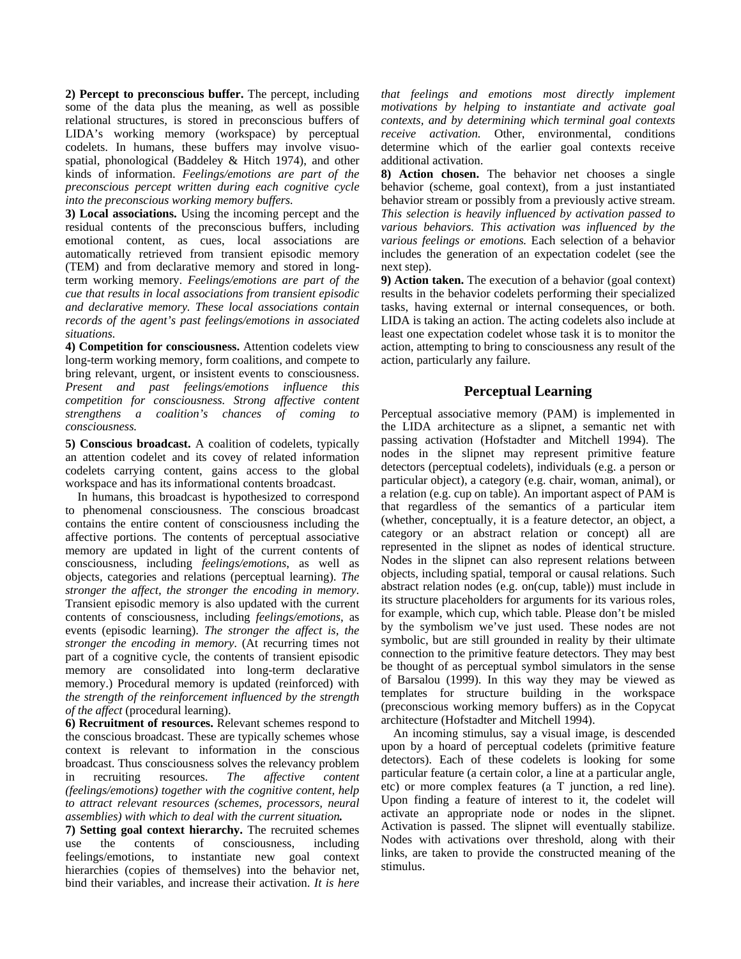**2) Percept to preconscious buffer.** The percept, including some of the data plus the meaning, as well as possible relational structures, is stored in preconscious buffers of LIDA's working memory (workspace) by perceptual codelets. In humans, these buffers may involve visuospatial, phonological (Baddeley & Hitch 1974), and other kinds of information. *Feelings/emotions are part of the preconscious percept written during each cognitive cycle into the preconscious working memory buffers.* 

**3) Local associations.** Using the incoming percept and the residual contents of the preconscious buffers, including emotional content, as cues, local associations are automatically retrieved from transient episodic memory (TEM) and from declarative memory and stored in longterm working memory. *Feelings/emotions are part of the cue that results in local associations from transient episodic and declarative memory. These local associations contain records of the agent's past feelings/emotions in associated situations.*

**4) Competition for consciousness.** Attention codelets view long-term working memory, form coalitions, and compete to bring relevant, urgent, or insistent events to consciousness. *Present and past feelings/emotions influence this competition for consciousness. Strong affective content strengthens a coalition's chances of coming to consciousness.*

**5) Conscious broadcast.** A coalition of codelets, typically an attention codelet and its covey of related information codelets carrying content, gains access to the global

workspace and has its informational contents broadcast. In humans, this broadcast is hypothesized to correspond to phenomenal consciousness. The conscious broadcast contains the entire content of consciousness including the affective portions. The contents of perceptual associative memory are updated in light of the current contents of consciousness, including *feelings/emotions*, as well as objects, categories and relations (perceptual learning). *The stronger the affect, the stronger the encoding in memory*. Transient episodic memory is also updated with the current contents of consciousness, including *feelings/emotions*, as events (episodic learning). *The stronger the affect is, the stronger the encoding in memory*. (At recurring times not part of a cognitive cycle, the contents of transient episodic memory are consolidated into long-term declarative memory.) Procedural memory is updated (reinforced) with *the strength of the reinforcement influenced by the strength of the affect* (procedural learning).

**6) Recruitment of resources.** Relevant schemes respond to the conscious broadcast. These are typically schemes whose context is relevant to information in the conscious broadcast. Thus consciousness solves the relevancy problem in recruiting resources. *The affective content (feelings/emotions) together with the cognitive content, help to attract relevant resources (schemes, processors, neural assemblies) with which to deal with the current situation.*

**7) Setting goal context hierarchy.** The recruited schemes use the contents of consciousness, including feelings/emotions, to instantiate new goal context hierarchies (copies of themselves) into the behavior net, bind their variables, and increase their activation. *It is here* 

*that feelings and emotions most directly implement motivations by helping to instantiate and activate goal contexts, and by determining which terminal goal contexts receive activation.* Other, environmental, conditions determine which of the earlier goal contexts receive additional activation.

**8) Action chosen.** The behavior net chooses a single behavior (scheme, goal context), from a just instantiated behavior stream or possibly from a previously active stream. *This selection is heavily influenced by activation passed to various behaviors. This activation was influenced by the various feelings or emotions.* Each selection of a behavior includes the generation of an expectation codelet (see the next step).

**9) Action taken.** The execution of a behavior (goal context) results in the behavior codelets performing their specialized tasks, having external or internal consequences, or both. LIDA is taking an action. The acting codelets also include at least one expectation codelet whose task it is to monitor the action, attempting to bring to consciousness any result of the action, particularly any failure.

### **Perceptual Learning**

Perceptual associative memory (PAM) is implemented in the LIDA architecture as a slipnet, a semantic net with passing activation (Hofstadter and Mitchell 1994). The nodes in the slipnet may represent primitive feature detectors (perceptual codelets), individuals (e.g. a person or particular object), a category (e.g. chair, woman, animal), or a relation (e.g. cup on table). An important aspect of PAM is that regardless of the semantics of a particular item (whether, conceptually, it is a feature detector, an object, a category or an abstract relation or concept) all are represented in the slipnet as nodes of identical structure. Nodes in the slipnet can also represent relations between objects, including spatial, temporal or causal relations. Such abstract relation nodes (e.g. on(cup, table)) must include in its structure placeholders for arguments for its various roles, for example, which cup, which table. Please don't be misled by the symbolism we've just used. These nodes are not symbolic, but are still grounded in reality by their ultimate connection to the primitive feature detectors. They may best be thought of as perceptual symbol simulators in the sense of Barsalou (1999). In this way they may be viewed as templates for structure building in the workspace (preconscious working memory buffers) as in the Copycat architecture (Hofstadter and Mitchell 1994).

An incoming stimulus, say a visual image, is descended upon by a hoard of perceptual codelets (primitive feature detectors). Each of these codelets is looking for some particular feature (a certain color, a line at a particular angle, etc) or more complex features (a T junction, a red line). Upon finding a feature of interest to it, the codelet will activate an appropriate node or nodes in the slipnet. Activation is passed. The slipnet will eventually stabilize. Nodes with activations over threshold, along with their links, are taken to provide the constructed meaning of the stimulus.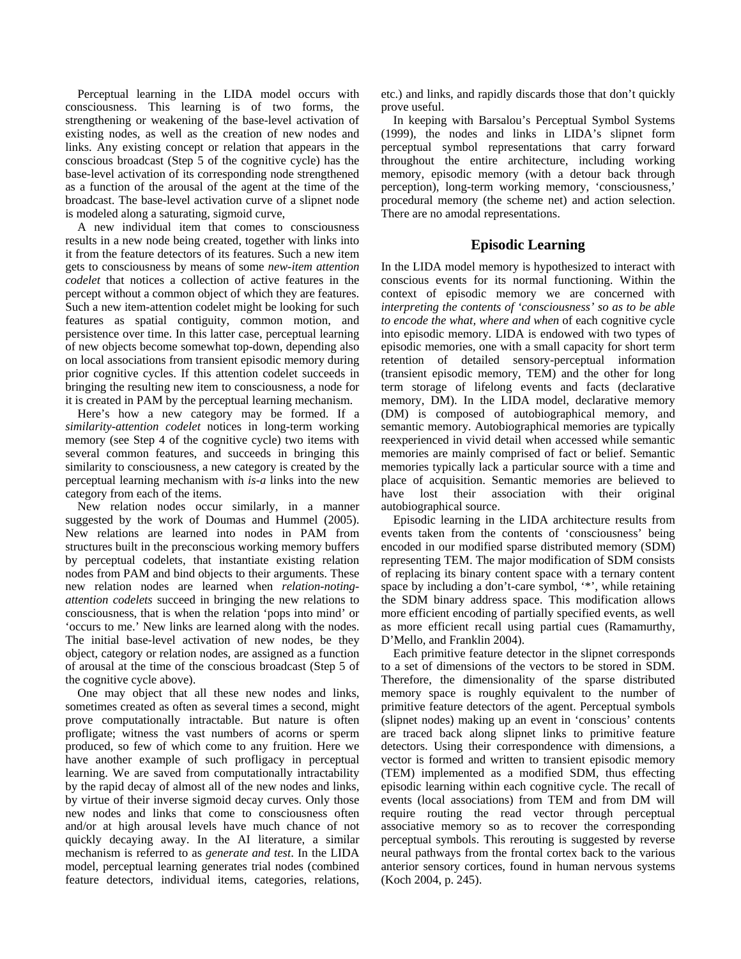Perceptual learning in the LIDA model occurs with consciousness. This learning is of two forms, the strengthening or weakening of the base-level activation of existing nodes, as well as the creation of new nodes and links. Any existing concept or relation that appears in the conscious broadcast (Step 5 of the cognitive cycle) has the base-level activation of its corresponding node strengthened as a function of the arousal of the agent at the time of the broadcast. The base-level activation curve of a slipnet node is modeled along a saturating, sigmoid curve,

A new individual item that comes to consciousness results in a new node being created, together with links into it from the feature detectors of its features. Such a new item gets to consciousness by means of some *new-item attention codelet* that notices a collection of active features in the percept without a common object of which they are features. Such a new item-attention codelet might be looking for such features as spatial contiguity, common motion, and persistence over time. In this latter case, perceptual learning of new objects become somewhat top-down, depending also on local associations from transient episodic memory during prior cognitive cycles. If this attention codelet succeeds in bringing the resulting new item to consciousness, a node for it is created in PAM by the perceptual learning mechanism.

Here's how a new category may be formed. If a *similarity-attention codelet* notices in long-term working memory (see Step 4 of the cognitive cycle) two items with several common features, and succeeds in bringing this similarity to consciousness, a new category is created by the perceptual learning mechanism with *is-a* links into the new category from each of the items.

New relation nodes occur similarly, in a manner suggested by the work of Doumas and Hummel (2005). New relations are learned into nodes in PAM from structures built in the preconscious working memory buffers by perceptual codelets, that instantiate existing relation nodes from PAM and bind objects to their arguments. These new relation nodes are learned when *relation-notingattention codelets* succeed in bringing the new relations to consciousness, that is when the relation 'pops into mind' or 'occurs to me.' New links are learned along with the nodes. The initial base-level activation of new nodes, be they object, category or relation nodes, are assigned as a function of arousal at the time of the conscious broadcast (Step 5 of the cognitive cycle above).

One may object that all these new nodes and links, sometimes created as often as several times a second, might prove computationally intractable. But nature is often profligate; witness the vast numbers of acorns or sperm produced, so few of which come to any fruition. Here we have another example of such profligacy in perceptual learning. We are saved from computationally intractability by the rapid decay of almost all of the new nodes and links, by virtue of their inverse sigmoid decay curves. Only those new nodes and links that come to consciousness often and/or at high arousal levels have much chance of not quickly decaying away. In the AI literature, a similar mechanism is referred to as *generate and test*. In the LIDA model, perceptual learning generates trial nodes (combined feature detectors, individual items, categories, relations,

etc.) and links, and rapidly discards those that don't quickly prove useful.

In keeping with Barsalou's Perceptual Symbol Systems (1999), the nodes and links in LIDA's slipnet form perceptual symbol representations that carry forward throughout the entire architecture, including working memory, episodic memory (with a detour back through perception), long-term working memory, 'consciousness,' procedural memory (the scheme net) and action selection. There are no amodal representations.

## **Episodic Learning**

In the LIDA model memory is hypothesized to interact with conscious events for its normal functioning. Within the context of episodic memory we are concerned with *interpreting the contents of 'consciousness' so as to be able to encode the what, where and when* of each cognitive cycle into episodic memory. LIDA is endowed with two types of episodic memories, one with a small capacity for short term retention of detailed sensory-perceptual information (transient episodic memory, TEM) and the other for long term storage of lifelong events and facts (declarative memory, DM). In the LIDA model, declarative memory (DM) is composed of autobiographical memory, and semantic memory. Autobiographical memories are typically reexperienced in vivid detail when accessed while semantic memories are mainly comprised of fact or belief. Semantic memories typically lack a particular source with a time and place of acquisition. Semantic memories are believed to have lost their association with their original autobiographical source.

Episodic learning in the LIDA architecture results from events taken from the contents of 'consciousness' being encoded in our modified sparse distributed memory (SDM) representing TEM. The major modification of SDM consists of replacing its binary content space with a ternary content space by including a don't-care symbol, '\*', while retaining the SDM binary address space. This modification allows more efficient encoding of partially specified events, as well as more efficient recall using partial cues (Ramamurthy, D'Mello, and Franklin 2004).

Each primitive feature detector in the slipnet corresponds to a set of dimensions of the vectors to be stored in SDM. Therefore, the dimensionality of the sparse distributed memory space is roughly equivalent to the number of primitive feature detectors of the agent. Perceptual symbols (slipnet nodes) making up an event in 'conscious' contents are traced back along slipnet links to primitive feature detectors. Using their correspondence with dimensions, a vector is formed and written to transient episodic memory (TEM) implemented as a modified SDM, thus effecting episodic learning within each cognitive cycle. The recall of events (local associations) from TEM and from DM will require routing the read vector through perceptual associative memory so as to recover the corresponding perceptual symbols. This rerouting is suggested by reverse neural pathways from the frontal cortex back to the various anterior sensory cortices, found in human nervous systems (Koch 2004, p. 245).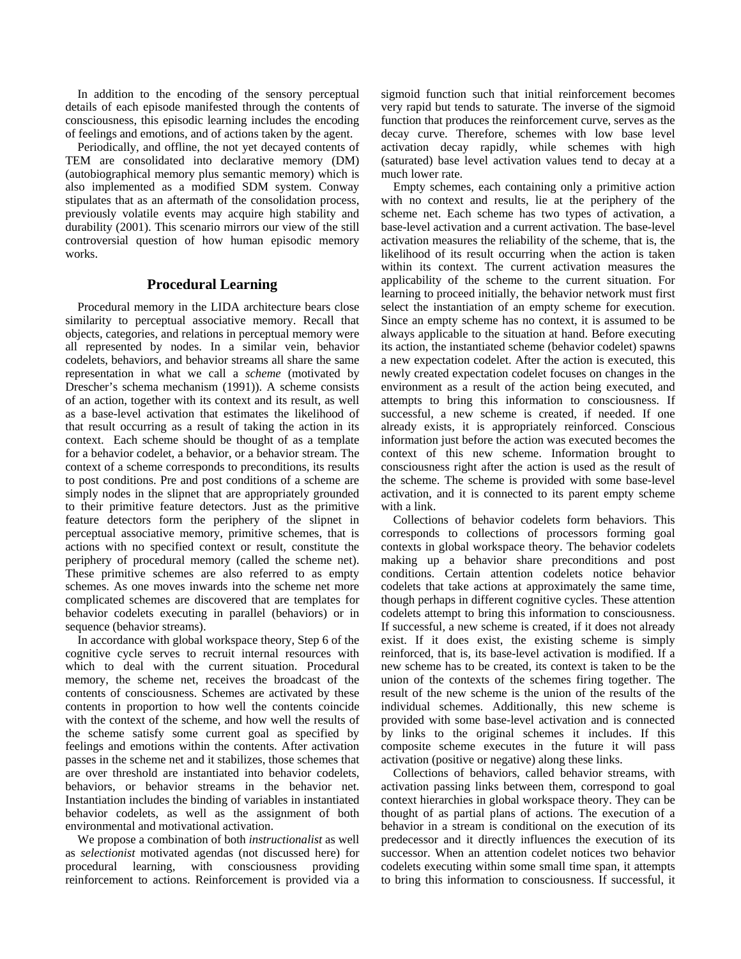In addition to the encoding of the sensory perceptual details of each episode manifested through the contents of consciousness, this episodic learning includes the encoding of feelings and emotions, and of actions taken by the agent.

Periodically, and offline, the not yet decayed contents of TEM are consolidated into declarative memory (DM) (autobiographical memory plus semantic memory) which is also implemented as a modified SDM system. Conway stipulates that as an aftermath of the consolidation process, previously volatile events may acquire high stability and durability (2001). This scenario mirrors our view of the still controversial question of how human episodic memory works.

### **Procedural Learning**

Procedural memory in the LIDA architecture bears close similarity to perceptual associative memory. Recall that objects, categories, and relations in perceptual memory were all represented by nodes. In a similar vein, behavior codelets, behaviors, and behavior streams all share the same representation in what we call a *scheme* (motivated by Drescher's schema mechanism (1991)). A scheme consists of an action, together with its context and its result, as well as a base-level activation that estimates the likelihood of that result occurring as a result of taking the action in its context. Each scheme should be thought of as a template for a behavior codelet, a behavior, or a behavior stream. The context of a scheme corresponds to preconditions, its results to post conditions. Pre and post conditions of a scheme are simply nodes in the slipnet that are appropriately grounded to their primitive feature detectors. Just as the primitive feature detectors form the periphery of the slipnet in perceptual associative memory, primitive schemes, that is actions with no specified context or result, constitute the periphery of procedural memory (called the scheme net). These primitive schemes are also referred to as empty schemes. As one moves inwards into the scheme net more complicated schemes are discovered that are templates for behavior codelets executing in parallel (behaviors) or in sequence (behavior streams).

In accordance with global workspace theory, Step 6 of the cognitive cycle serves to recruit internal resources with which to deal with the current situation. Procedural memory, the scheme net, receives the broadcast of the contents of consciousness. Schemes are activated by these contents in proportion to how well the contents coincide with the context of the scheme, and how well the results of the scheme satisfy some current goal as specified by feelings and emotions within the contents. After activation passes in the scheme net and it stabilizes, those schemes that are over threshold are instantiated into behavior codelets, behaviors, or behavior streams in the behavior net. Instantiation includes the binding of variables in instantiated behavior codelets, as well as the assignment of both environmental and motivational activation.

We propose a combination of both *instructionalist* as well as *selectionist* motivated agendas (not discussed here) for procedural learning, with consciousness providing reinforcement to actions. Reinforcement is provided via a sigmoid function such that initial reinforcement becomes very rapid but tends to saturate. The inverse of the sigmoid function that produces the reinforcement curve, serves as the decay curve. Therefore, schemes with low base level activation decay rapidly, while schemes with high (saturated) base level activation values tend to decay at a much lower rate.

Empty schemes, each containing only a primitive action with no context and results, lie at the periphery of the scheme net. Each scheme has two types of activation, a base-level activation and a current activation. The base-level activation measures the reliability of the scheme, that is, the likelihood of its result occurring when the action is taken within its context. The current activation measures the applicability of the scheme to the current situation. For learning to proceed initially, the behavior network must first select the instantiation of an empty scheme for execution. Since an empty scheme has no context, it is assumed to be always applicable to the situation at hand. Before executing its action, the instantiated scheme (behavior codelet) spawns a new expectation codelet. After the action is executed, this newly created expectation codelet focuses on changes in the environment as a result of the action being executed, and attempts to bring this information to consciousness. If successful, a new scheme is created, if needed. If one already exists, it is appropriately reinforced. Conscious information just before the action was executed becomes the context of this new scheme. Information brought to consciousness right after the action is used as the result of the scheme. The scheme is provided with some base-level activation, and it is connected to its parent empty scheme with a link.

Collections of behavior codelets form behaviors. This corresponds to collections of processors forming goal contexts in global workspace theory. The behavior codelets making up a behavior share preconditions and post conditions. Certain attention codelets notice behavior codelets that take actions at approximately the same time, though perhaps in different cognitive cycles. These attention codelets attempt to bring this information to consciousness. If successful, a new scheme is created, if it does not already exist. If it does exist, the existing scheme is simply reinforced, that is, its base-level activation is modified. If a new scheme has to be created, its context is taken to be the union of the contexts of the schemes firing together. The result of the new scheme is the union of the results of the individual schemes. Additionally, this new scheme is provided with some base-level activation and is connected by links to the original schemes it includes. If this composite scheme executes in the future it will pass activation (positive or negative) along these links.

Collections of behaviors, called behavior streams, with activation passing links between them, correspond to goal context hierarchies in global workspace theory. They can be thought of as partial plans of actions. The execution of a behavior in a stream is conditional on the execution of its predecessor and it directly influences the execution of its successor. When an attention codelet notices two behavior codelets executing within some small time span, it attempts to bring this information to consciousness. If successful, it